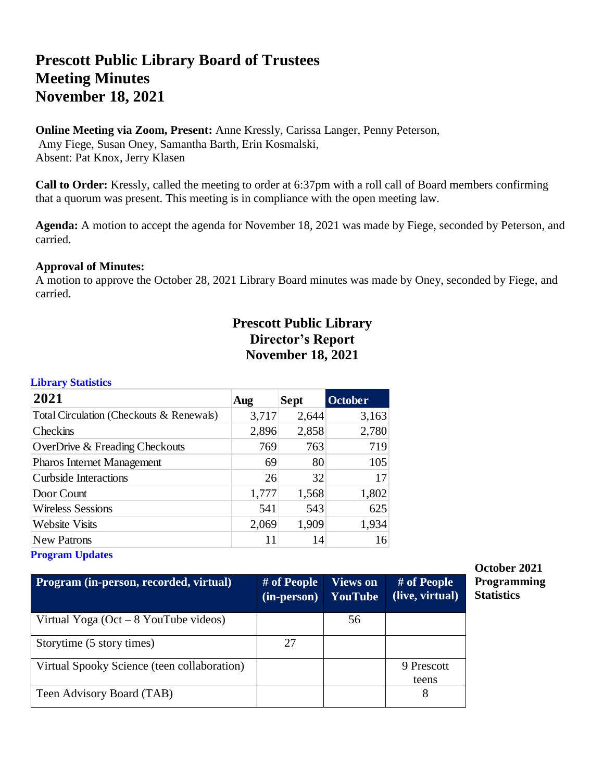# **Prescott Public Library Board of Trustees Meeting Minutes November 18, 2021**

**Online Meeting via Zoom, Present:** Anne Kressly, Carissa Langer, Penny Peterson, Amy Fiege, Susan Oney, Samantha Barth, Erin Kosmalski, Absent: Pat Knox, Jerry Klasen

**Call to Order:** Kressly, called the meeting to order at 6:37pm with a roll call of Board members confirming that a quorum was present. This meeting is in compliance with the open meeting law.

**Agenda:** A motion to accept the agenda for November 18, 2021 was made by Fiege, seconded by Peterson, and carried.

## **Approval of Minutes:**

A motion to approve the October 28, 2021 Library Board minutes was made by Oney, seconded by Fiege, and carried.

## **Prescott Public Library Director's Report November 18, 2021**

#### **Library Statistics**

| 2021                                     | Aug   | <b>Sept</b> | <b>October</b> |
|------------------------------------------|-------|-------------|----------------|
| Total Circulation (Checkouts & Renewals) | 3,717 | 2,644       | 3,163          |
| Checkins                                 | 2,896 | 2,858       | 2,780          |
| OverDrive & Freading Checkouts           | 769   | 763         | 719            |
| <b>Pharos Internet Management</b>        | 69    | 80          | 105            |
| <b>Curbside Interactions</b>             | 26    | 32          | 17             |
| Door Count                               | 1,777 | 1,568       | 1,802          |
| <b>Wireless Sessions</b>                 | 541   | 543         | 625            |
| <b>Website Visits</b>                    | 2,069 | 1,909       | 1,934          |
| <b>New Patrons</b>                       | 11    | 14          | 16             |

**Program Updates**

| Program (in-person, recorded, virtual)      | # of People<br>(in-person) | Views on<br>YouTube | # of People<br>(live, virtual) |  |
|---------------------------------------------|----------------------------|---------------------|--------------------------------|--|
| Virtual Yoga (Oct $-8$ YouTube videos)      |                            | 56                  |                                |  |
| Storytime (5 story times)                   | 27                         |                     |                                |  |
| Virtual Spooky Science (teen collaboration) |                            |                     | 9 Prescott<br>teens            |  |
| Teen Advisory Board (TAB)                   |                            |                     | 8                              |  |

**October 2021 Programming Statistics**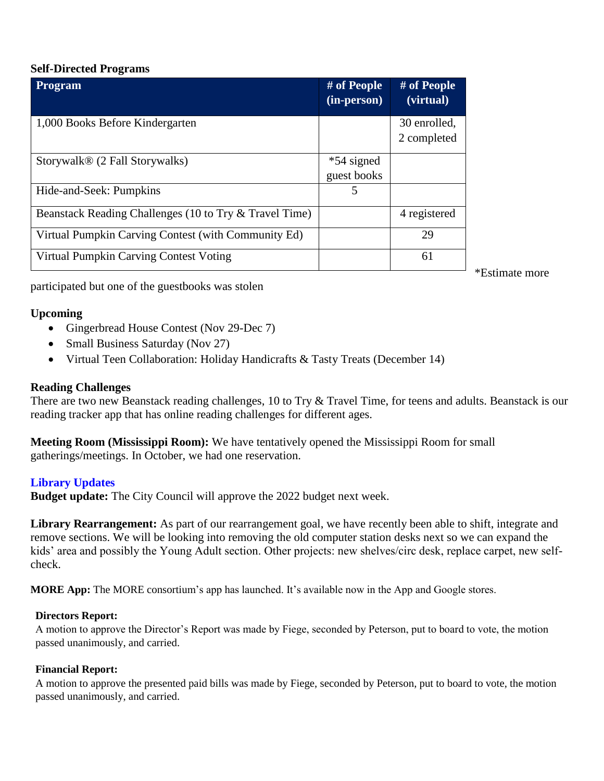## **Self-Directed Programs**

| <b>Program</b>                                         | # of People<br>(in-person) | # of People<br>(virtual) |
|--------------------------------------------------------|----------------------------|--------------------------|
| 1,000 Books Before Kindergarten                        |                            | 30 enrolled,             |
|                                                        |                            | 2 completed              |
| Storywalk® (2 Fall Storywalks)                         | $*54$ signed               |                          |
|                                                        | guest books                |                          |
| Hide-and-Seek: Pumpkins                                | 5                          |                          |
| Beanstack Reading Challenges (10 to Try & Travel Time) |                            | 4 registered             |
| Virtual Pumpkin Carving Contest (with Community Ed)    |                            | 29                       |
| Virtual Pumpkin Carving Contest Voting                 |                            | 61                       |

\*Estimate more

participated but one of the guestbooks was stolen

## **Upcoming**

- Gingerbread House Contest (Nov 29-Dec 7)
- Small Business Saturday (Nov 27)
- Virtual Teen Collaboration: Holiday Handicrafts & Tasty Treats (December 14)

## **Reading Challenges**

There are two new Beanstack reading challenges, 10 to Try & Travel Time, for teens and adults. Beanstack is our reading tracker app that has online reading challenges for different ages.

**Meeting Room (Mississippi Room):** We have tentatively opened the Mississippi Room for small gatherings/meetings. In October, we had one reservation.

## **Library Updates**

**Budget update:** The City Council will approve the 2022 budget next week.

**Library Rearrangement:** As part of our rearrangement goal, we have recently been able to shift, integrate and remove sections. We will be looking into removing the old computer station desks next so we can expand the kids' area and possibly the Young Adult section. Other projects: new shelves/circ desk, replace carpet, new selfcheck.

**MORE App:** The MORE consortium's app has launched. It's available now in the App and Google stores.

## **Directors Report:**

A motion to approve the Director's Report was made by Fiege, seconded by Peterson, put to board to vote, the motion passed unanimously, and carried.

## **Financial Report:**

A motion to approve the presented paid bills was made by Fiege, seconded by Peterson, put to board to vote, the motion passed unanimously, and carried.